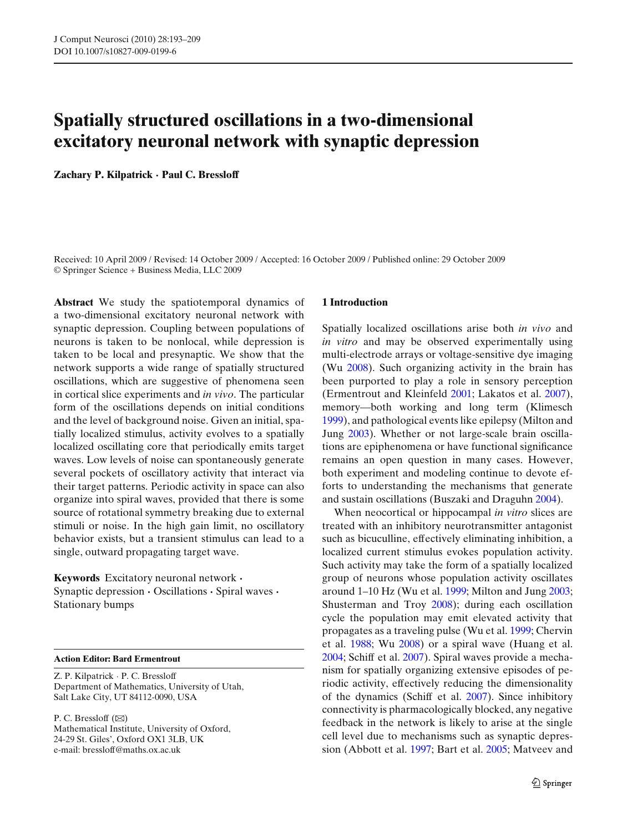# **Spatially structured oscillations in a two-dimensional excitatory neuronal network with synaptic depression**

**Zachary P. Kilpatrick · Paul C. Bressloff**

Received: 10 April 2009 / Revised: 14 October 2009 / Accepted: 16 October 2009 / Published online: 29 October 2009 © Springer Science + Business Media, LLC 2009

**Abstract** We study the spatiotemporal dynamics of a two-dimensional excitatory neuronal network with synaptic depression. Coupling between populations of neurons is taken to be nonlocal, while depression is taken to be local and presynaptic. We show that the network supports a wide range of spatially structured oscillations, which are suggestive of phenomena seen in cortical slice experiments and *in vivo*. The particular form of the oscillations depends on initial conditions and the level of background noise. Given an initial, spatially localized stimulus, activity evolves to a spatially localized oscillating core that periodically emits target waves. Low levels of noise can spontaneously generate several pockets of oscillatory activity that interact via their target patterns. Periodic activity in space can also organize into spiral waves, provided that there is some source of rotational symmetry breaking due to external stimuli or noise. In the high gain limit, no oscillatory behavior exists, but a transient stimulus can lead to a single, outward propagating target wave.

**Keywords** Excitatory neuronal network **·** Synaptic depression **·** Oscillations **·** Spiral waves **·** Stationary bumps

**Action Editor: Bard Ermentrout**

Z. P. Kilpatrick · P. C. Bressloff Department of Mathematics, University of Utah, Salt Lake City, UT 84112-0090, USA

P. C. Bressloff  $(\boxtimes)$ Mathematical Institute, University of Oxford, 24-29 St. Giles', Oxford OX1 3LB, UK e-mail: bressloff@maths.ox.ac.uk

#### **1 Introduction**

Spatially localized oscillations arise both *in vivo* and *in vitro* and may be observed experimentally using multi-electrode arrays or voltage-sensitive dye imaging (W[u](#page-16-0) [2008\)](#page-16-0). Such organizing activity in the brain has been purported to play a role in sensory perception (Ermentrout and Kleinfel[d](#page-15-0) [2001](#page-15-0); Lakatos et al[.](#page-15-0) [2007\)](#page-15-0), memory—both working and long term (Klimesc[h](#page-15-0) [1999](#page-15-0)), and pathological events like epilepsy (Milton and Jun[g](#page-16-0) [2003\)](#page-16-0). Whether or not large-scale brain oscillations are epiphenomena or have functional significance remains an open question in many cases. However, both experiment and modeling continue to devote efforts to understanding the mechanisms that generate and sustain oscillations (Buszaki and Draguh[n](#page-15-0) [2004](#page-15-0)).

When neocortical or hippocampal *in vitro* slices are treated with an inhibitory neurotransmitter antagonist such as bicuculline, effectively eliminating inhibition, a localized current stimulus evokes population activity. Such activity may take the form of a spatially localized group of neurons whose population activity oscillates around 1–10 Hz (Wu et al[.](#page-16-0) [1999](#page-16-0); Milton and Jun[g](#page-16-0) [2003;](#page-16-0) Shusterman and Tro[y](#page-16-0) [2008](#page-16-0)); during each oscillation cycle the population may emit elevated activity that propagates as a traveling pulse (Wu et al[.](#page-16-0) [1999;](#page-16-0) Chervin et al[.](#page-15-0) [1988;](#page-15-0) W[u](#page-16-0) [2008](#page-16-0)) or a spiral wave (Huang et al[.](#page-15-0) [2004](#page-15-0); Schiff et al[.](#page-16-0) [2007\)](#page-16-0). Spiral waves provide a mechanism for spatially organizing extensive episodes of periodic activity, effectively reducing the dimensionality of the dynamics (Schiff et al[.](#page-16-0) [2007](#page-16-0)). Since inhibitory connectivity is pharmacologically blocked, any negative feedback in the network is likely to arise at the single cell level due to mechanisms such as synaptic depression (Abbott et al[.](#page-15-0) [1997;](#page-15-0) Bart et al[.](#page-15-0) [2005](#page-15-0); Matveev and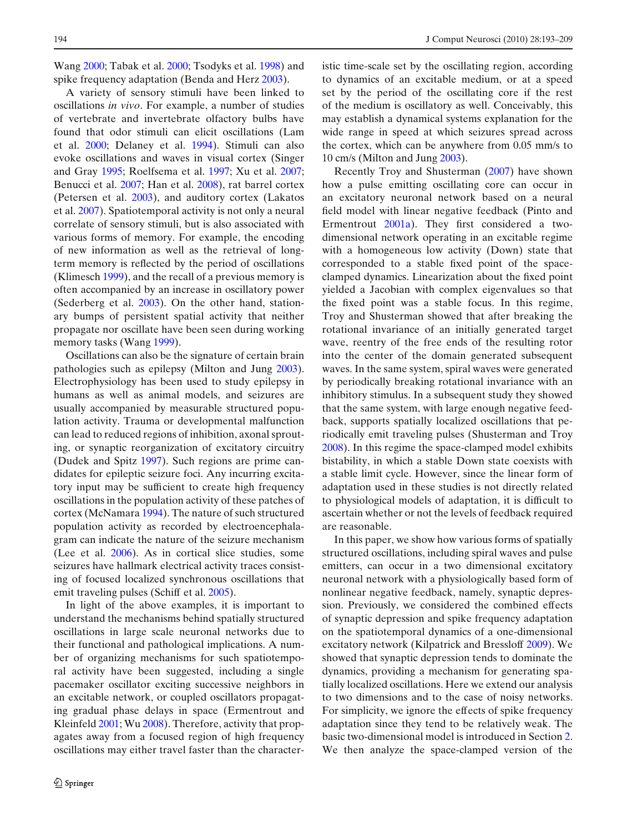Wan[g](#page-16-0) [2000](#page-16-0); Tabak et al[.](#page-16-0) [2000;](#page-16-0) Tsodyks et al[.](#page-16-0) [1998\)](#page-16-0) and spike frequency adaptation (Benda and Her[z](#page-15-0) [2003\)](#page-15-0).

A variety of sensory stimuli have been linked to oscillations *in vivo*. For example, a number of studies of vertebrate and invertebrate olfactory bulbs have found that odor stimuli can elicit oscillations (Lam et al[.](#page-15-0) [2000](#page-15-0); Delaney et al[.](#page-15-0) [1994](#page-15-0)). Stimuli can also evoke oscillations and waves in visual cortex (Singer and Gra[y](#page-16-0) [1995](#page-16-0); Roelfsema et al[.](#page-16-0) [1997](#page-16-0); Xu et al[.](#page-16-0) [2007;](#page-16-0) Benucci et al[.](#page-15-0) [2007](#page-15-0); Han et al[.](#page-15-0) [2008](#page-15-0)), rat barrel cortex (Petersen et al[.](#page-16-0) [2003](#page-16-0)), and auditory cortex (Lakatos et al[.](#page-15-0) [2007](#page-15-0)). Spatiotemporal activity is not only a neural correlate of sensory stimuli, but is also associated with various forms of memory. For example, the encoding of new information as well as the retrieval of longterm memory is reflected by the period of oscillations (Klimesc[h](#page-15-0) [1999\)](#page-15-0), and the recall of a previous memory is often accompanied by an increase in oscillatory power (Sederberg et al[.](#page-16-0) [2003\)](#page-16-0). On the other hand, stationary bumps of persistent spatial activity that neither propagate nor oscillate have been seen during working memory tasks (Wan[g](#page-16-0) [1999\)](#page-16-0).

Oscillations can also be the signature of certain brain pathologies such as epilepsy (Milton and Jun[g](#page-16-0) [2003\)](#page-16-0). Electrophysiology has been used to study epilepsy in humans as well as animal models, and seizures are usually accompanied by measurable structured population activity. Trauma or developmental malfunction can lead to reduced regions of inhibition, axonal sprouting, or synaptic reorganization of excitatory circuitry (Dudek and Spit[z](#page-15-0) [1997\)](#page-15-0). Such regions are prime candidates for epileptic seizure foci. Any incurring excitatory input may be sufficient to create high frequency oscillations in the population activity of these patches of cortex (McNamar[a](#page-16-0) [1994\)](#page-16-0). The nature of such structured population activity as recorded by electroencephalagram can indicate the nature of the seizure mechanism (Lee et al[.](#page-15-0) [2006](#page-15-0)). As in cortical slice studies, some seizures have hallmark electrical activity traces consisting of focused localized synchronous oscillations that emit traveling pulses (Schiff et al[.](#page-16-0) [2005](#page-16-0)).

In light of the above examples, it is important to understand the mechanisms behind spatially structured oscillations in large scale neuronal networks due to their functional and pathological implications. A number of organizing mechanisms for such spatiotemporal activity have been suggested, including a single pacemaker oscillator exciting successive neighbors in an excitable network, or coupled oscillators propagating gradual phase delays in space (Ermentrout and Kleinfel[d](#page-15-0) [2001;](#page-15-0) W[u](#page-16-0) [2008\)](#page-16-0). Therefore, activity that propagates away from a focused region of high frequency oscillations may either travel faster than the characteristic time-scale set by the oscillating region, according to dynamics of an excitable medium, or at a speed set by the period of the oscillating core if the rest of the medium is oscillatory as well. Conceivably, this may establish a dynamical systems explanation for the wide range in speed at which seizures spread across the cortex, which can be anywhere from 0.05 mm/s to 10 cm/s (Milton and Jun[g](#page-16-0) [2003](#page-16-0)).

Recently Troy and Shusterma[n](#page-16-0) [\(2007](#page-16-0)) have shown how a pulse emitting oscillating core can occur in an excitatory neuronal network based on a neural field model with linear negative feedback (Pinto and Ermentrou[t](#page-16-0) [2001a](#page-16-0)). They first considered a twodimensional network operating in an excitable regime with a homogeneous low activity (Down) state that corresponded to a stable fixed point of the spaceclamped dynamics. Linearization about the fixed point yielded a Jacobian with complex eigenvalues so that the fixed point was a stable focus. In this regime, Troy and Shusterman showed that after breaking the rotational invariance of an initially generated target wave, reentry of the free ends of the resulting rotor into the center of the domain generated subsequent waves. In the same system, spiral waves were generated by periodically breaking rotational invariance with an inhibitory stimulus. In a subsequent study they showed that the same system, with large enough negative feedback, supports spatially localized oscillations that periodically emit traveling pulses (Shusterman and Tro[y](#page-16-0) [2008](#page-16-0)). In this regime the space-clamped model exhibits bistability, in which a stable Down state coexists with a stable limit cycle. However, since the linear form of adaptation used in these studies is not directly related to physiological models of adaptation, it is difficult to ascertain whether or not the levels of feedback required are reasonable.

In this paper, we show how various forms of spatially structured oscillations, including spiral waves and pulse emitters, can occur in a two dimensional excitatory neuronal network with a physiologically based form of nonlinear negative feedback, namely, synaptic depression. Previously, we considered the combined effects of synaptic depression and spike frequency adaptation on the spatiotemporal dynamics of a one-dimensional excitatory network (Kilpatrick and Bresslof[f](#page-15-0) [2009](#page-15-0)). We showed that synaptic depression tends to dominate the dynamics, providing a mechanism for generating spatially localized oscillations. Here we extend our analysis to two dimensions and to the case of noisy networks. For simplicity, we ignore the effects of spike frequency adaptation since they tend to be relatively weak. The basic two-dimensional model is introduced in Section [2.](#page-2-0) We then analyze the space-clamped version of the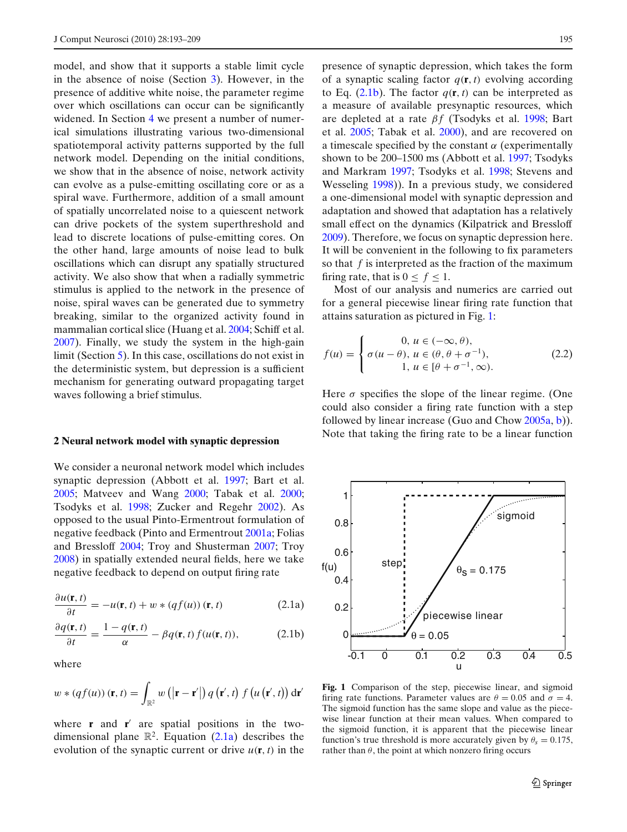<span id="page-2-0"></span>model, and show that it supports a stable limit cycle in the absence of noise (Section [3\)](#page-3-0). However, in the presence of additive white noise, the parameter regime over which oscillations can occur can be significantly widened. In Section [4](#page-6-0) we present a number of numerical simulations illustrating various two-dimensional spatiotemporal activity patterns supported by the full network model. Depending on the initial conditions, we show that in the absence of noise, network activity can evolve as a pulse-emitting oscillating core or as a spiral wave. Furthermore, addition of a small amount of spatially uncorrelated noise to a quiescent network can drive pockets of the system superthreshold and lead to discrete locations of pulse-emitting cores. On the other hand, large amounts of noise lead to bulk oscillations which can disrupt any spatially structured activity. We also show that when a radially symmetric stimulus is applied to the network in the presence of noise, spiral waves can be generated due to symmetry breaking, similar to the organized activity found in mammalian cortical slice (Huang et al[.](#page-15-0) [2004](#page-15-0); Schiff et al[.](#page-16-0) [2007](#page-16-0)). Finally, we study the system in the high-gain limit (Section [5\)](#page-11-0). In this case, oscillations do not exist in the deterministic system, but depression is a sufficient mechanism for generating outward propagating target waves following a brief stimulus.

## **2 Neural network model with synaptic depression**

We consider a neuronal network model which includes synaptic depression (Abbott et al[.](#page-15-0) [1997](#page-15-0); Bart et al[.](#page-15-0) [2005](#page-15-0); Matveev and Wan[g](#page-16-0) [2000](#page-16-0); Tabak et al[.](#page-16-0) [2000;](#page-16-0) Tsodyks et al[.](#page-16-0) [1998;](#page-16-0) Zucker and Regeh[r](#page-16-0) [2002](#page-16-0)). As opposed to the usual Pinto-Ermentrout formulation of negative feedback (Pinto and Ermentrou[t](#page-16-0) [2001a](#page-16-0); Folias and Bresslof[f](#page-15-0) [2004](#page-15-0); Troy and Shusterma[n](#page-16-0) [2007;](#page-16-0) Tro[y](#page-16-0) [2008](#page-16-0)) in spatially extended neural fields, here we take negative feedback to depend on output firing rate

$$
\frac{\partial u(\mathbf{r},t)}{\partial t} = -u(\mathbf{r},t) + w * (qf(u)) (\mathbf{r},t)
$$
 (2.1a)

$$
\frac{\partial q(\mathbf{r},t)}{\partial t} = \frac{1 - q(\mathbf{r},t)}{\alpha} - \beta q(\mathbf{r},t) f(u(\mathbf{r},t)),
$$
(2.1b)

where

$$
w * (qf(u)) (\mathbf{r}, t) = \int_{\mathbb{R}^2} w\left( \left| \mathbf{r} - \mathbf{r}' \right| \right) q\left( \mathbf{r}', t \right) f\left( u\left( \mathbf{r}', t \right) \right) d\mathbf{r}'
$$

where  $\bf{r}$  and  $\bf{r}'$  are spatial positions in the twodimensional plane  $\mathbb{R}^2$ . Equation (2.1a) describes the evolution of the synaptic current or drive  $u(\mathbf{r}, t)$  in the

presence of synaptic depression, which takes the form of a synaptic scaling factor  $q(\mathbf{r}, t)$  evolving according to Eq.  $(2.1b)$ . The factor  $q(\mathbf{r}, t)$  can be interpreted as a measure of available presynaptic resources, which are depleted at a rate  $βf$  (Tsodyks et al[.](#page-16-0) [1998](#page-16-0); Bart et al[.](#page-15-0) [2005;](#page-15-0) Tabak et al[.](#page-16-0) [2000\)](#page-16-0), and are recovered on a timescale specified by the constant  $\alpha$  (experimentally shown to be 200–1500 ms (Abbott et al[.](#page-15-0) [1997;](#page-15-0) Tsodyks and Markra[m](#page-16-0) [1997](#page-16-0); Tsodyks et al[.](#page-16-0) [1998](#page-16-0); Stevens and Wesselin[g](#page-16-0) [1998\)](#page-16-0)). In a previous study, we considered a one-dimensional model with synaptic depression and adaptation and showed that adaptation has a relatively small effect on the dynamics (Kilpatrick and Bresslof[f](#page-15-0) [2009](#page-15-0)). Therefore, we focus on synaptic depression here. It will be convenient in the following to fix parameters so that *f* is interpreted as the fraction of the maximum firing rate, that is  $0 \le f \le 1$ .

Most of our analysis and numerics are carried out for a general piecewise linear firing rate function that attains saturation as pictured in Fig. 1:

$$
f(u) = \begin{cases} 0, u \in (-\infty, \theta), \\ \sigma(u - \theta), u \in (\theta, \theta + \sigma^{-1}), \\ 1, u \in [\theta + \sigma^{-1}, \infty). \end{cases}
$$
(2.2)

Here  $\sigma$  specifies the slope of the linear regime. (One could also consider a firing rate function with a step followed by linear increase (Guo and Cho[w](#page-15-0) [2005a](#page-15-0), [b\)](#page-15-0)). Note that taking the firing rate to be a linear function



**Fig. 1** Comparison of the step, piecewise linear, and sigmoid firing rate functions. Parameter values are  $\theta = 0.05$  and  $\sigma = 4$ . The sigmoid function has the same slope and value as the piecewise linear function at their mean values. When compared to the sigmoid function, it is apparent that the piecewise linear function's true threshold is more accurately given by  $\theta_s = 0.175$ , rather than  $\theta$ , the point at which nonzero firing occurs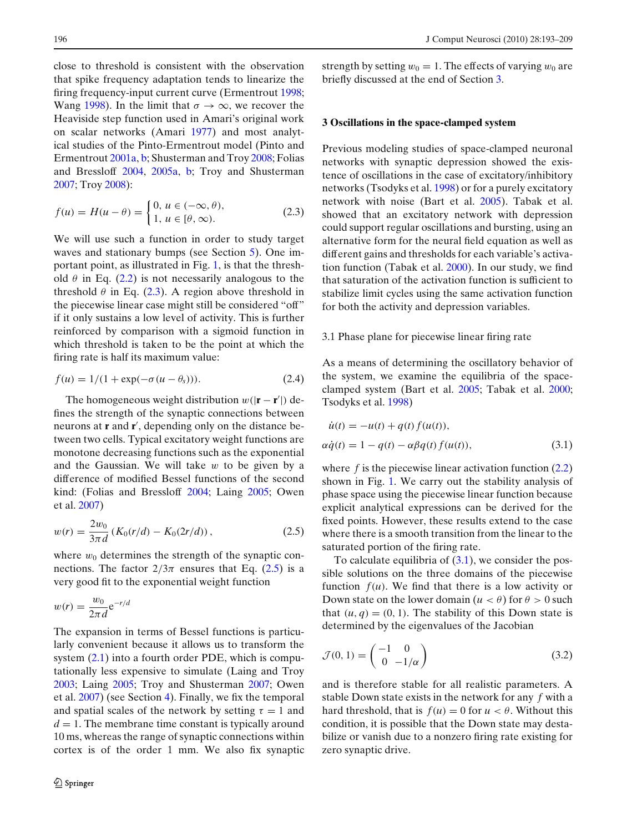<span id="page-3-0"></span>close to threshold is consistent with the observation that spike frequency adaptation tends to linearize the firing frequency-inpu[t](#page-15-0) current curve (Ermentrout [1998;](#page-15-0) Wan[g](#page-16-0) [1998](#page-16-0)). In the limit that  $\sigma \to \infty$ , we recover the Heaviside step function used in Amari's original work on scalar networks (Amar[i](#page-15-0) [1977\)](#page-15-0) and most analytical studies of the Pinto-Ermentrout model (Pinto and Ermentrou[t](#page-16-0) [2001a,](#page-16-0) [b;](#page-16-0) Shusterman and Troy [2008;](#page-16-0) Folias and Bressloff [2004](#page-15-0), [2005a](#page-15-0), [b;](#page-15-0) Troy and Shusterman [2007](#page-16-0); Troy [2008\)](#page-16-0):

$$
f(u) = H(u - \theta) = \begin{cases} 0, u \in (-\infty, \theta), \\ 1, u \in [\theta, \infty). \end{cases}
$$
 (2.3)

We will use such a function in order to study target waves and stationary bumps (see Section [5\)](#page-11-0). One important point, as illustrated in Fig. [1,](#page-2-0) is that the threshold  $\theta$  in Eq. [\(2.2\)](#page-2-0) is not necessarily analogous to the threshold  $\theta$  in Eq. (2.3). A region above threshold in the piecewise linear case might still be considered "off" if it only sustains a low level of activity. This is further reinforced by comparison with a sigmoid function in which threshold is taken to be the point at which the firing rate is half its maximum value:

$$
f(u) = 1/(1 + \exp(-\sigma(u - \theta_s))).
$$
 (2.4)

The homogeneous weight distribution  $w(|\mathbf{r} - \mathbf{r}'|)$  defines the strength of the synaptic connections between neurons at **r** and **r** , depending only on the distance between two cells. Typical excitatory weight functions are monotone decreasing functions such as the exponential and the Gaussian. We will take  $w$  to be given by a difference of modified Bessel functions of the second kind: (Folias and Bresslof[f](#page-15-0) [2004](#page-15-0); Lain[g](#page-15-0) [2005;](#page-15-0) Owen et al[.](#page-16-0) [2007\)](#page-16-0)

$$
w(r) = \frac{2w_0}{3\pi d} \left( K_0(r/d) - K_0(2r/d) \right),\tag{2.5}
$$

where  $w_0$  determines the strength of the synaptic connections. The factor  $2/3\pi$  ensures that Eq. (2.5) is a very good fit to the exponential weight function

$$
w(r) = \frac{w_0}{2\pi d} e^{-r/d}
$$

The expansion in terms of Bessel functions is particularly convenient because it allows us to transform the system [\(2.1\)](#page-2-0) into a fourth order PDE, which is computationally less expensive to simulate (Laing and Tro[y](#page-15-0) [2003](#page-15-0); Lain[g](#page-15-0) [2005](#page-15-0); Troy and Shusterma[n](#page-16-0) [2007](#page-16-0); Owen et al[.](#page-16-0) [2007\)](#page-16-0) (see Section [4\)](#page-6-0). Finally, we fix the temporal and spatial scales of the network by setting  $\tau = 1$  and  $d = 1$ . The membrane time constant is typically around 10 ms, whereas the range of synaptic connections within cortex is of the order 1 mm. We also fix synaptic strength by setting  $w_0 = 1$ . The effects of varying  $w_0$  are briefly discussed at the end of Section 3.

#### **3 Oscillations in the space-clamped system**

Previous modeling studies of space-clamped neuronal networks with synaptic depression showed the existence of oscillations in the case of excitatory/inhibitory networks (Tsodyks et al[.](#page-16-0) [1998](#page-16-0)) or for a purely excitatory network with noise (Bart et al[.](#page-15-0) [2005](#page-15-0)). Tabak et al. showed that an excitatory network with depression could support regular oscillations and bursting, using an alternative form for the neural field equation as well as different gains and thresholds for each variable's activation function (Tabak et al[.](#page-16-0) [2000](#page-16-0)). In our study, we find that saturation of the activation function is sufficient to stabilize limit cycles using the same activation function for both the activity and depression variables.

#### 3.1 Phase plane for piecewise linear firing rate

As a means of determining the oscillatory behavior of the system, we examine the equilibria of the spaceclamped system (Bart et al[.](#page-15-0) [2005;](#page-15-0) Tabak et al[.](#page-16-0) [2000;](#page-16-0) Tsodyks et al[.](#page-16-0) [1998](#page-16-0))

$$
\dot{u}(t) = -u(t) + q(t) f(u(t)),
$$
  
\n
$$
\alpha \dot{q}(t) = 1 - q(t) - \alpha \beta q(t) f(u(t)),
$$
\n(3.1)

where *f* is the piecewise linear activation function  $(2.2)$ shown in Fig. [1.](#page-2-0) We carry out the stability analysis of phase space using the piecewise linear function because explicit analytical expressions can be derived for the fixed points. However, these results extend to the case where there is a smooth transition from the linear to the saturated portion of the firing rate.

To calculate equilibria of  $(3.1)$ , we consider the possible solutions on the three domains of the piecewise function  $f(u)$ . We find that there is a low activity or Down state on the lower domain ( $u < \theta$ ) for  $\theta > 0$  such that  $(u, q) = (0, 1)$ . The stability of this Down state is determined by the eigenvalues of the Jacobian

$$
\mathcal{J}(0,1) = \begin{pmatrix} -1 & 0\\ 0 & -1/\alpha \end{pmatrix} \tag{3.2}
$$

and is therefore stable for all realistic parameters. A stable Down state exists in the network for any *f* with a hard threshold, that is  $f(u) = 0$  for  $u < \theta$ . Without this condition, it is possible that the Down state may destabilize or vanish due to a nonzero firing rate existing for zero synaptic drive.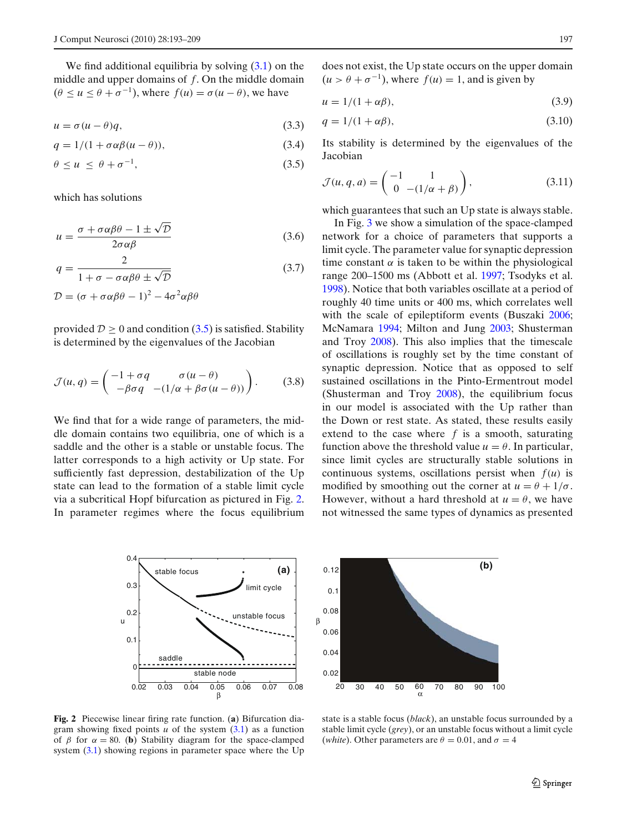We find additional equilibria by solving  $(3.1)$  on the middle and upper domains of *f*. On the middle domain  $(\theta \le u \le \theta + \sigma^{-1})$ , where  $f(u) = \sigma(u - \theta)$ , we have

$$
u = \sigma(u - \theta)q,\tag{3.3}
$$

$$
q = 1/(1 + \sigma \alpha \beta (u - \theta)), \tag{3.4}
$$

$$
\theta \le u \le \theta + \sigma^{-1},\tag{3.5}
$$

which has solutions

$$
u = \frac{\sigma + \sigma \alpha \beta \theta - 1 \pm \sqrt{\mathcal{D}}}{2\sigma \alpha \beta}
$$
 (3.6)

$$
q = \frac{2}{1 + \sigma - \sigma \alpha \beta \theta \pm \sqrt{\mathcal{D}}}
$$
 (3.7)

$$
\mathcal{D} = (\sigma + \sigma \alpha \beta \theta - 1)^2 - 4\sigma^2 \alpha \beta \theta
$$

provided  $D \ge 0$  and condition (3.5) is satisfied. Stability is determined by the eigenvalues of the Jacobian

$$
\mathcal{J}(u,q) = \begin{pmatrix} -1 + \sigma q & \sigma(u-\theta) \\ -\beta \sigma q & -(1/\alpha + \beta \sigma(u-\theta)) \end{pmatrix}.
$$
 (3.8)

We find that for a wide range of parameters, the middle domain contains two equilibria, one of which is a saddle and the other is a stable or unstable focus. The latter corresponds to a high activity or Up state. For sufficiently fast depression, destabilization of the Up state can lead to the formation of a stable limit cycle via a subcritical Hopf bifurcation as pictured in Fig. 2. In parameter regimes where the focus equilibrium

does not exist, the Up state occurs on the upper domain  $(u > \theta + \sigma^{-1})$ , where  $f(u) = 1$ , and is given by

$$
u = 1/(1 + \alpha \beta), \tag{3.9}
$$

$$
q = 1/(1 + \alpha \beta),\tag{3.10}
$$

Its stability is determined by the eigenvalues of the Jacobian

$$
\mathcal{J}(u,q,a) = \begin{pmatrix} -1 & 1 \\ 0 & -(1/\alpha + \beta) \end{pmatrix},
$$
\n(3.11)

which guarantees that such an Up state is always stable.

In Fig. [3](#page-5-0) we show a simulation of the space-clamped network for a choice of parameters that supports a limit cycle. The parameter value for synaptic depression time constant  $\alpha$  is taken to be within the physiological range 200–1500 ms (Abbott et al[.](#page-15-0) [1997](#page-15-0); Tsodyks et al[.](#page-16-0) [1998](#page-16-0)). Notice that both variables oscillate at a period of roughly 40 time units or 400 ms, which correlates well w[i](#page-15-0)th the scale of epileptiform events (Buszaki [2006;](#page-15-0) McNamar[a](#page-16-0) [1994](#page-16-0); Milton and Jun[g](#page-16-0) [2003;](#page-16-0) Shusterman and Tro[y](#page-16-0) [2008](#page-16-0)). This also implies that the timescale of oscillations is roughly set by the time constant of synaptic depression. Notice that as opposed to self sustained oscillations in the Pinto-Ermentrout model (Shusterman and Tro[y](#page-16-0) [2008\)](#page-16-0), the equilibrium focus in our model is associated with the Up rather than the Down or rest state. As stated, these results easily extend to the case where *f* is a smooth, saturating function above the threshold value  $u = \theta$ . In particular, since limit cycles are structurally stable solutions in continuous systems, oscillations persist when  $f(u)$  is modified by smoothing out the corner at  $u = \theta + 1/\sigma$ . However, without a hard threshold at  $u = \theta$ , we have not witnessed the same types of dynamics as presented



**Fig. 2** Piecewise linear firing rate function. (**a**) Bifurcation diagram showing fixed points  $u$  of the system  $(3.1)$  as a function of  $\beta$  for  $\alpha = 80$ . (**b**) Stability diagram for the space-clamped system [\(3.1\)](#page-3-0) showing regions in parameter space where the Up



state is a stable focus (*black*), an unstable focus surrounded by a stable limit cycle (*grey*), or an unstable focus without a limit cycle (*white*). Other parameters are  $\theta = 0.01$ , and  $\sigma = 4$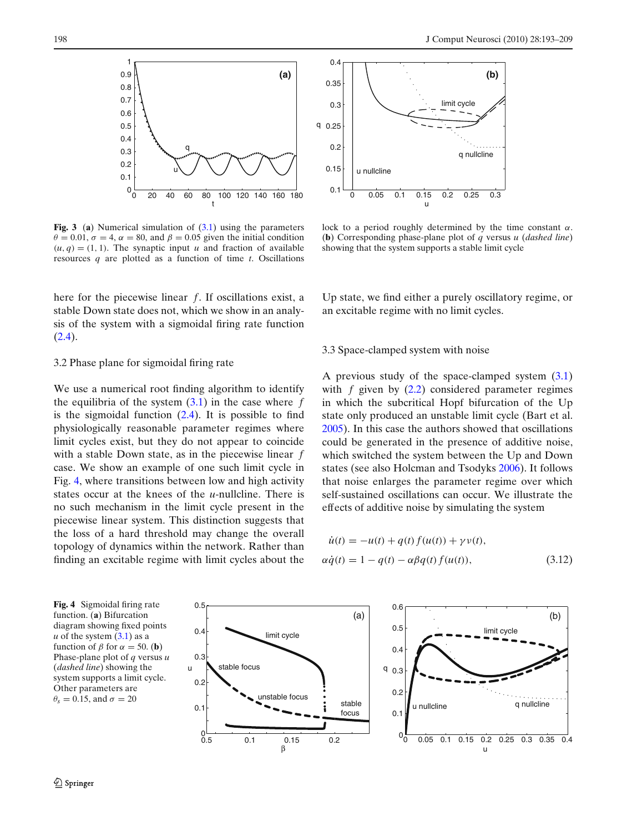<span id="page-5-0"></span>

**Fig. 3** (**a**) Numerical simulation of [\(3.1\)](#page-3-0) using the parameters  $\theta = 0.01$ ,  $\sigma = 4$ ,  $\alpha = 80$ , and  $\beta = 0.05$  given the initial condition  $(u, q) = (1, 1)$ . The synaptic input *u* and fraction of available resources *q* are plotted as a function of time *t*. Oscillations

here for the piecewise linear *f*. If oscillations exist, a stable Down state does not, which we show in an analysis of the system with a sigmoidal firing rate function [\(2.4\)](#page-3-0).

## 3.2 Phase plane for sigmoidal firing rate

We use a numerical root finding algorithm to identify the equilibria of the system  $(3.1)$  in the case where  $f$ is the sigmoidal function  $(2.4)$ . It is possible to find physiologically reasonable parameter regimes where limit cycles exist, but they do not appear to coincide with a stable Down state, as in the piecewise linear *f* case. We show an example of one such limit cycle in Fig. 4, where transitions between low and high activity states occur at the knees of the *u*-nullcline. There is no such mechanism in the limit cycle present in the piecewise linear system. This distinction suggests that the loss of a hard threshold may change the overall topology of dynamics within the network. Rather than finding an excitable regime with limit cycles about the



lock to a period roughly determined by the time constant  $\alpha$ . (**b**) Corresponding phase-plane plot of *q* versus *u* (*dashed line*) showing that the system supports a stable limit cycle

Up state, we find either a purely oscillatory regime, or an excitable regime with no limit cycles.

## 3.3 Space-clamped system with noise

A previous study of the space-clamped system [\(3.1\)](#page-3-0) with *f* given by [\(2.2\)](#page-2-0) considered parameter regimes in which the subcritical Hopf bifurcation of the Up state only produced an unstable limit cycle (Bart et al[.](#page-15-0) [2005](#page-15-0)). In this case the authors showed that oscillations could be generated in the presence of additive noise, which switched the system between the Up and Down states (see also Holcman and Tsodyk[s](#page-15-0) [2006](#page-15-0)). It follows that noise enlarges the parameter regime over which self-sustained oscillations can occur. We illustrate the effects of additive noise by simulating the system

$$
\dot{u}(t) = -u(t) + q(t) f(u(t)) + \gamma v(t),
$$
  
\n
$$
\alpha \dot{q}(t) = 1 - q(t) - \alpha \beta q(t) f(u(t)),
$$
\n(3.12)

u

limit cycle

(b)

**Fig. 4** Sigmoidal firing rate function. (**a**) Bifurcation diagram showing fixed points  $u$  of the system  $(3.1)$  as a function of  $\beta$  for  $\alpha = 50$ . (**b**) Phase-plane plot of *q* versus *u* (*dashed line*) showing the system supports a limit cycle. Other parameters are  $\theta_s = 0.15$ , and  $\sigma = 20$ 

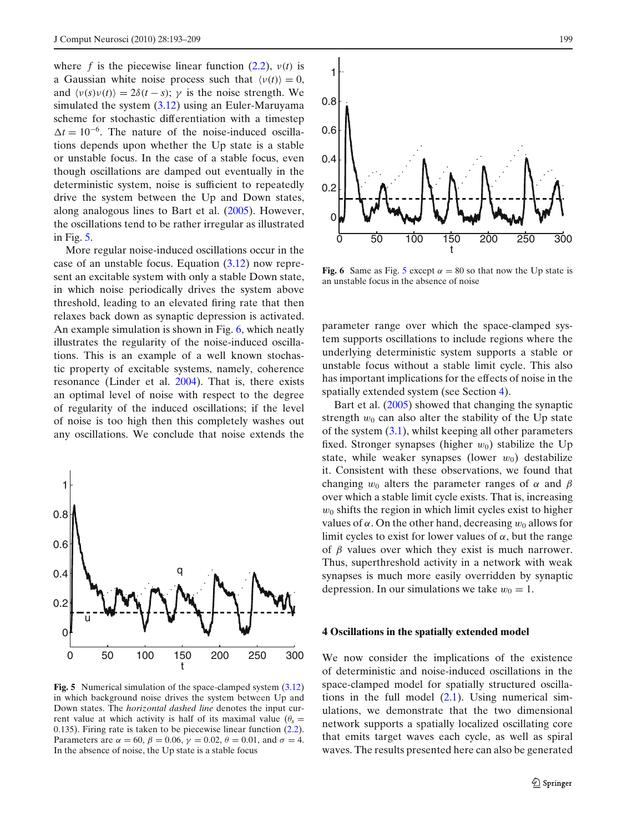<span id="page-6-0"></span>where *f* is the piecewise linear function  $(2.2)$ ,  $v(t)$  is a Gaussian white noise process such that  $\langle v(t) \rangle = 0$ , and  $\langle v(s)v(t) \rangle = 2\delta(t-s)$ ;  $\gamma$  is the noise strength. We simulated the system [\(3.12\)](#page-5-0) using an Euler-Maruyama scheme for stochastic differentiation with a timestep  $\Delta t = 10^{-6}$ . The nature of the noise-induced oscillations depends upon whether the Up state is a stable or unstable focus. In the case of a stable focus, even though oscillations are damped out eventually in the deterministic system, noise is sufficient to repeatedly drive the system between the Up and Down states, along analogous lines to Bart et al[.](#page-15-0) [\(2005](#page-15-0)). However, the oscillations tend to be rather irregular as illustrated in Fig. 5.

More regular noise-induced oscillations occur in the case of an unstable focus. Equation [\(3.12\)](#page-5-0) now represent an excitable system with only a stable Down state, in which noise periodically drives the system above threshold, leading to an elevated firing rate that then relaxes back down as synaptic depression is activated. An example simulation is shown in Fig. 6, which neatly illustrates the regularity of the noise-induced oscillations. This is an example of a well known stochastic property of excitable systems, namely, coherence resonance (Linder et al[.](#page-15-0) [2004\)](#page-15-0). That is, there exists an optimal level of noise with respect to the degree of regularity of the induced oscillations; if the level of noise is too high then this completely washes out any oscillations. We conclude that noise extends the



**Fig. 5** Numerical simulation of the space-clamped system [\(3.12\)](#page-5-0) in which background noise drives the system between Up and Down states. The *horizontal dashed line* denotes the input current value at which activity is half of its maximal value  $(\theta_s =$ 0.135). Firing rate is taken to be piecewise linear function [\(2.2\)](#page-2-0). Parameters are  $\alpha = 60$ ,  $\beta = 0.06$ ,  $\gamma = 0.02$ ,  $\theta = 0.01$ , and  $\sigma = 4$ . In the absence of noise, the Up state is a stable focus



**Fig. 6** Same as Fig. 5 except  $\alpha = 80$  so that now the Up state is an unstable focus in the absence of noise

parameter range over which the space-clamped system supports oscillations to include regions where the underlying deterministic system supports a stable or unstable focus without a stable limit cycle. This also has important implications for the effects of noise in the spatially extended system (see Section 4).

Bart et al[.](#page-15-0) [\(2005\)](#page-15-0) showed that changing the synaptic strength  $w_0$  can also alter the stability of the Up state of the system  $(3.1)$ , whilst keeping all other parameters fixed. Stronger synapses (higher  $w_0$ ) stabilize the Up state, while weaker synapses (lower  $w_0$ ) destabilize it. Consistent with these observations, we found that changing  $w_0$  alters the parameter ranges of  $\alpha$  and  $\beta$ over which a stable limit cycle exists. That is, increasing  $w_0$  shifts the region in which limit cycles exist to higher values of  $\alpha$ . On the other hand, decreasing  $w_0$  allows for limit cycles to exist for lower values of  $\alpha$ , but the range of  $\beta$  values over which they exist is much narrower. Thus, superthreshold activity in a network with weak synapses is much more easily overridden by synaptic depression. In our simulations we take  $w_0 = 1$ .

## **4 Oscillations in the spatially extended model**

We now consider the implications of the existence of deterministic and noise-induced oscillations in the space-clamped model for spatially structured oscillations in the full model  $(2.1)$ . Using numerical simulations, we demonstrate that the two dimensional network supports a spatially localized oscillating core that emits target waves each cycle, as well as spiral waves. The results presented here can also be generated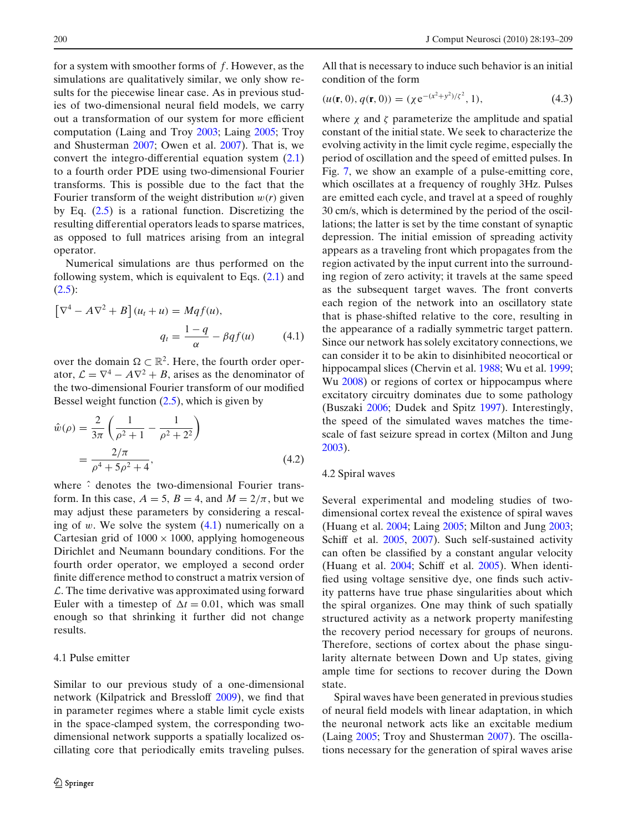<span id="page-7-0"></span>for a system with smoother forms of *f*. However, as the simulations are qualitatively similar, we only show results for the piecewise linear case. As in previous studies of two-dimensional neural field models, we carry out a transformation of our system for more efficient computation (Laing and Tro[y](#page-15-0) [2003;](#page-15-0) Lain[g](#page-15-0) [2005;](#page-15-0) Troy and Shusterma[n](#page-16-0) [2007;](#page-16-0) Owen et al[.](#page-16-0) [2007](#page-16-0)). That is, we convert the integro-differential equation system [\(2.1\)](#page-2-0) to a fourth order PDE using two-dimensional Fourier transforms. This is possible due to the fact that the Fourier transform of the weight distribution  $w(r)$  given by Eq. [\(2.5\)](#page-3-0) is a rational function. Discretizing the resulting differential operators leads to sparse matrices, as opposed to full matrices arising from an integral operator.

Numerical simulations are thus performed on the following system, which is equivalent to Eqs.  $(2.1)$  and  $(2.5):$  $(2.5):$ 

$$
\left[\nabla^4 - A\nabla^2 + B\right](u_t + u) = Mqf(u),
$$

$$
q_t = \frac{1-q}{\alpha} - \beta qf(u) \tag{4.1}
$$

over the domain  $\Omega \subset \mathbb{R}^2$ . Here, the fourth order operator,  $\mathcal{L} = \nabla^4 - A \nabla^2 + B$ , arises as the denominator of the two-dimensional Fourier transform of our modified Bessel weight function [\(2.5\)](#page-3-0), which is given by

$$
\hat{w}(\rho) = \frac{2}{3\pi} \left( \frac{1}{\rho^2 + 1} - \frac{1}{\rho^2 + 2^2} \right)
$$

$$
= \frac{2/\pi}{\rho^4 + 5\rho^2 + 4},
$$
(4.2)

where  $\hat{ }$  denotes the two-dimensional Fourier transform. In this case,  $A = 5$ ,  $B = 4$ , and  $M = 2/\pi$ , but we may adjust these parameters by considering a rescaling of  $w$ . We solve the system  $(4.1)$  numerically on a Cartesian grid of  $1000 \times 1000$ , applying homogeneous Dirichlet and Neumann boundary conditions. For the fourth order operator, we employed a second order finite difference method to construct a matrix version of  $\mathcal{L}$ . The time derivative was approximated using forward Euler with a timestep of  $\Delta t = 0.01$ , which was small enough so that shrinking it further did not change results.

#### 4.1 Pulse emitter

Similar to our previous study of a one-dimensional network (Kilpatrick and Bresslof[f](#page-15-0) [2009](#page-15-0)), we find that in parameter regimes where a stable limit cycle exists in the space-clamped system, the corresponding twodimensional network supports a spatially localized oscillating core that periodically emits traveling pulses.

All that is necessary to induce such behavior is an initial condition of the form

$$
(u(\mathbf{r},0), q(\mathbf{r},0)) = (\chi e^{-(x^2+y^2)/\zeta^2}, 1),
$$
\n(4.3)

where  $\chi$  and  $\zeta$  parameterize the amplitude and spatial constant of the initial state. We seek to characterize the evolving activity in the limit cycle regime, especially the period of oscillation and the speed of emitted pulses. In Fig. [7,](#page-8-0) we show an example of a pulse-emitting core, which oscillates at a frequency of roughly 3Hz. Pulses are emitted each cycle, and travel at a speed of roughly 30 cm/s, which is determined by the period of the oscillations; the latter is set by the time constant of synaptic depression. The initial emission of spreading activity appears as a traveling front which propagates from the region activated by the input current into the surrounding region of zero activity; it travels at the same speed as the subsequent target waves. The front converts each region of the network into an oscillatory state that is phase-shifted relative to the core, resulting in the appearance of a radially symmetric target pattern. Since our network has solely excitatory connections, we can consider it to be akin to disinhibited neocortical or hippocampal slices (Chervin et al[.](#page-16-0) [1988](#page-15-0); Wu et al. [1999;](#page-16-0) W[u](#page-16-0) [2008](#page-16-0)) or regions of cortex or hippocampus where excitatory circuitry dominates due to some pathology (Buszaki [2006;](#page-15-0) Dudek and Spit[z](#page-15-0) [1997](#page-15-0)). Interestingly, the speed of the simulated waves matches the timescale of fast seizure spread in cortex (Milton and Jun[g](#page-16-0) [2003](#page-16-0)).

#### 4.2 Spiral waves

Several experimental and modeling studies of twodimensional cortex reveal the existence of spiral waves (Huang et al[.](#page-15-0) [2004](#page-15-0); Lain[g](#page-15-0) [2005;](#page-15-0) Milton and Jun[g](#page-16-0) [2003;](#page-16-0) Schiff et al[.](#page-16-0) [2005](#page-16-0), [2007\)](#page-16-0). Such self-sustained activity can often be classified by a constant angular velocity (Huang et al[.](#page-15-0) [2004](#page-15-0); Schiff et al[.](#page-16-0) [2005\)](#page-16-0). When identified using voltage sensitive dye, one finds such activity patterns have true phase singularities about which the spiral organizes. One may think of such spatially structured activity as a network property manifesting the recovery period necessary for groups of neurons. Therefore, sections of cortex about the phase singularity alternate between Down and Up states, giving ample time for sections to recover during the Down state.

Spiral waves have been generated in previous studies of neural field models with linear adaptation, in which the neuronal network acts like an excitable medium (Lain[g](#page-15-0) [2005](#page-15-0); Troy and Shusterma[n](#page-16-0) [2007](#page-16-0)). The oscillations necessary for the generation of spiral waves arise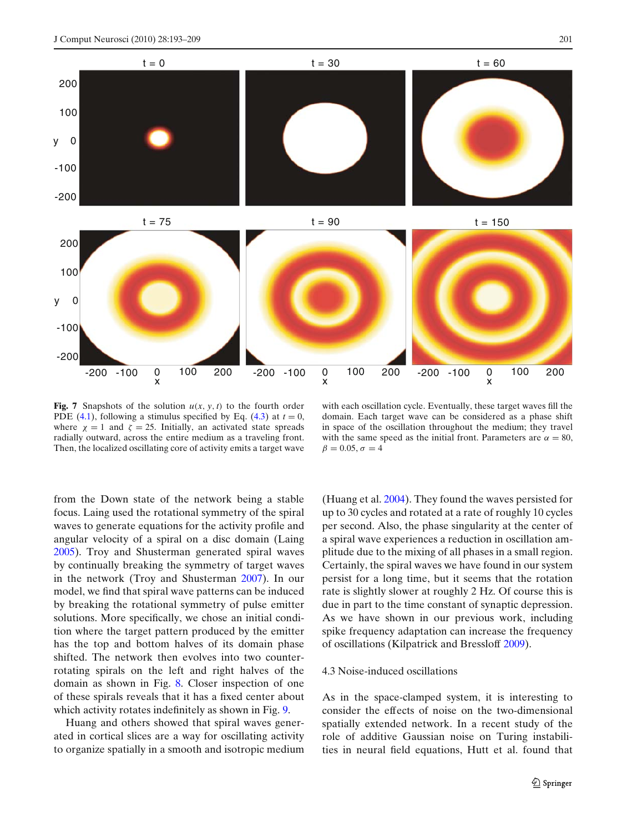<span id="page-8-0"></span>

**Fig. 7** Snapshots of the solution  $u(x, y, t)$  to the fourth order PDE [\(4.1\)](#page-7-0), following a stimulus specified by Eq. [\(4.3\)](#page-7-0) at  $t = 0$ , where  $\chi = 1$  and  $\zeta = 25$ . Initially, an activated state spreads radially outward, across the entire medium as a traveling front. Then, the localized oscillating core of activity emits a target wave

with each oscillation cycle. Eventually, these target waves fill the domain. Each target wave can be considered as a phase shift in space of the oscillation throughout the medium; they travel with the same speed as the initial front. Parameters are  $\alpha = 80$ ,  $\beta = 0.05, \sigma = 4$ 

from the Down state of the network being a stable focus. Laing used the rotational symmetry of the spiral waves to generate equations for the activity profile and angular velocity of a spiral on a disc domain (Lain[g](#page-15-0) [2005](#page-15-0)). Troy and Shusterman generated spiral waves by continually breaking the symmetry of target waves in the network (Troy and Shusterma[n](#page-16-0) [2007](#page-16-0)). In our model, we find that spiral wave patterns can be induced by breaking the rotational symmetry of pulse emitter solutions. More specifically, we chose an initial condition where the target pattern produced by the emitter has the top and bottom halves of its domain phase shifted. The network then evolves into two counterrotating spirals on the left and right halves of the domain as shown in Fig. [8.](#page-9-0) Closer inspection of one of these spirals reveals that it has a fixed center about which activity rotates indefinitely as shown in Fig. [9.](#page-9-0)

Huang and others showed that spiral waves generated in cortical slices are a way for oscillating activity to organize spatially in a smooth and isotropic medium (Huang et al[.](#page-15-0) [2004\)](#page-15-0). They found the waves persisted for up to 30 cycles and rotated at a rate of roughly 10 cycles per second. Also, the phase singularity at the center of a spiral wave experiences a reduction in oscillation amplitude due to the mixing of all phases in a small region. Certainly, the spiral waves we have found in our system persist for a long time, but it seems that the rotation rate is slightly slower at roughly 2 Hz. Of course this is due in part to the time constant of synaptic depression. As we have shown in our previous work, including spike frequency adaptation can increase the frequency of oscillations (Kilpatrick and Bresslof[f](#page-15-0) [2009\)](#page-15-0).

# 4.3 Noise-induced oscillations

As in the space-clamped system, it is interesting to consider the effects of noise on the two-dimensional spatially extended network. In a recent study of the role of additive Gaussian noise on Turing instabilities in neural field equations, Hutt et al. found that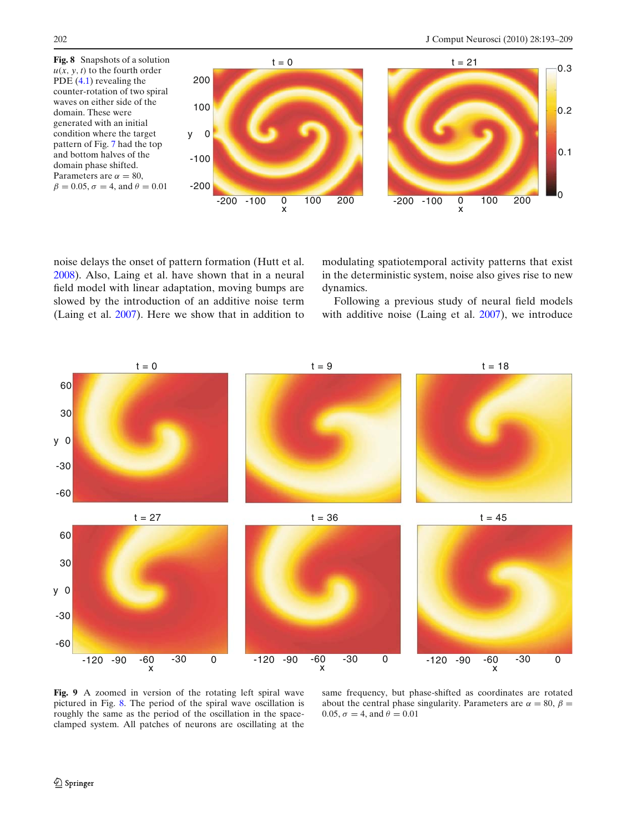<span id="page-9-0"></span>

noise delays the onset of pattern formation (Hutt et al[.](#page-15-0) [2008](#page-15-0)). Also, Laing et al. have shown that in a neural field model with linear adaptation, moving bumps are slowed by the introduction of an additive noise term (Laing et al[.](#page-15-0) [2007\)](#page-15-0). Here we show that in addition to modulating spatiotemporal activity patterns that exist in the deterministic system, noise also gives rise to new dynamics.

Following a previous study of neural field models with additive noise (Laing et al[.](#page-15-0) [2007\)](#page-15-0), we introduce



**Fig. 9** A zoomed in version of the rotating left spiral wave pictured in Fig. 8. The period of the spiral wave oscillation is roughly the same as the period of the oscillation in the spaceclamped system. All patches of neurons are oscillating at the

same frequency, but phase-shifted as coordinates are rotated about the central phase singularity. Parameters are  $\alpha = 80$ ,  $\beta =$ 0.05,  $\sigma = 4$ , and  $\theta = 0.01$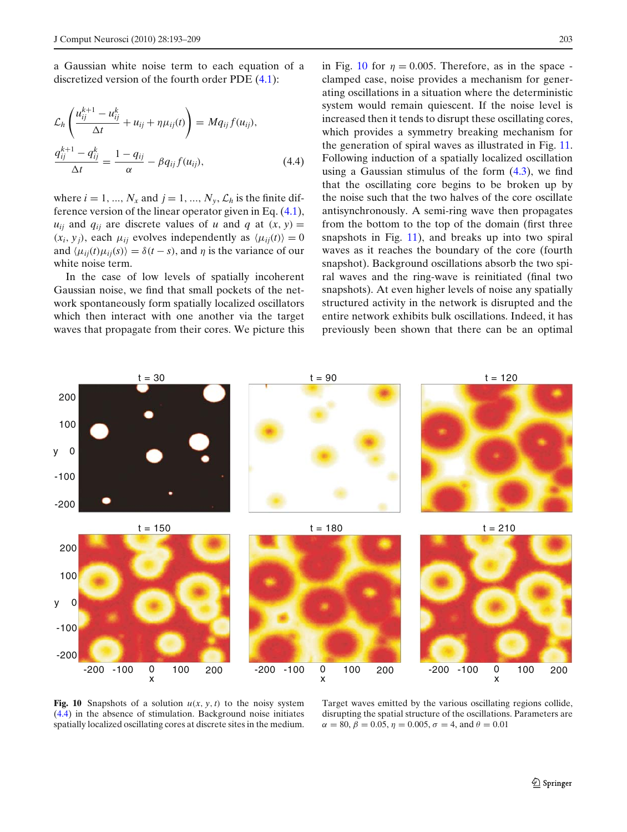<span id="page-10-0"></span>a Gaussian white noise term to each equation of a discretized version of the fourth order PDE [\(4.1\)](#page-7-0):

$$
\mathcal{L}_h \left( \frac{u_{ij}^{k+1} - u_{ij}^k}{\Delta t} + u_{ij} + \eta \mu_{ij}(t) \right) = M q_{ij} f(u_{ij}),
$$
\n
$$
\frac{q_{ij}^{k+1} - q_{ij}^k}{\Delta t} = \frac{1 - q_{ij}}{\alpha} - \beta q_{ij} f(u_{ij}),
$$
\n(4.4)

where  $i = 1, ..., N_x$  and  $j = 1, ..., N_y, \mathcal{L}_h$  is the finite difference version of the linear operator given in Eq. [\(4.1\)](#page-7-0),  $u_{ij}$  and  $q_{ij}$  are discrete values of *u* and *q* at  $(x, y) =$  $(x_i, y_j)$ , each  $\mu_{ij}$  evolves independently as  $\langle \mu_{ij}(t) \rangle = 0$ and  $\langle \mu_{ij}(t) \mu_{ij}(s) \rangle = \delta(t - s)$ , and  $\eta$  is the variance of our white noise term.

In the case of low levels of spatially incoherent Gaussian noise, we find that small pockets of the network spontaneously form spatially localized oscillators which then interact with one another via the target waves that propagate from their cores. We picture this

in Fig. 10 for  $\eta = 0.005$ . Therefore, as in the space clamped case, noise provides a mechanism for generating oscillations in a situation where the deterministic system would remain quiescent. If the noise level is increased then it tends to disrupt these oscillating cores, which provides a symmetry breaking mechanism for the generation of spiral waves as illustrated in Fig. [11.](#page-11-0) Following induction of a spatially localized oscillation using a Gaussian stimulus of the form  $(4.3)$ , we find that the oscillating core begins to be broken up by the noise such that the two halves of the core oscillate antisynchronously. A semi-ring wave then propagates from the bottom to the top of the domain (first three snapshots in Fig. [11\)](#page-11-0), and breaks up into two spiral waves as it reaches the boundary of the core (fourth snapshot). Background oscillations absorb the two spiral waves and the ring-wave is reinitiated (final two snapshots). At even higher levels of noise any spatially structured activity in the network is disrupted and the entire network exhibits bulk oscillations. Indeed, it has previously been shown that there can be an optimal



**Fig. 10** Snapshots of a solution  $u(x, y, t)$  to the noisy system (4.4) in the absence of stimulation. Background noise initiates spatially localized oscillating cores at discrete sites in the medium.

Target waves emitted by the various oscillating regions collide, disrupting the spatial structure of the oscillations. Parameters are  $\alpha = 80, \beta = 0.05, \eta = 0.005, \sigma = 4, \text{ and } \theta = 0.01$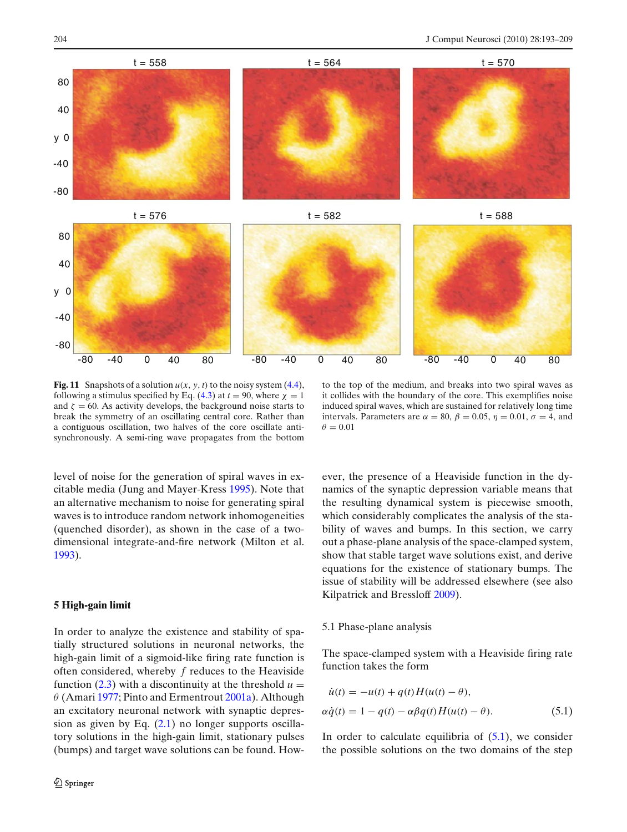<span id="page-11-0"></span>

**Fig. 11** Snapshots of a solution  $u(x, y, t)$  to the noisy system [\(4.4\)](#page-10-0), following a stimulus specified by Eq. [\(4.3\)](#page-7-0) at  $t = 90$ , where  $\chi = 1$ and  $\zeta = 60$ . As activity develops, the background noise starts to break the symmetry of an oscillating central core. Rather than a contiguous oscillation, two halves of the core oscillate antisynchronously. A semi-ring wave propagates from the bottom

to the top of the medium, and breaks into two spiral waves as it collides with the boundary of the core. This exemplifies noise induced spiral waves, which are sustained for relatively long time intervals. Parameters are  $\alpha = 80$ ,  $\beta = 0.05$ ,  $\eta = 0.01$ ,  $\sigma = 4$ , and  $\theta = 0.01$ 

level of noise for the generation of spiral waves in excitable media (Jung and Mayer-Kres[s](#page-15-0) [1995](#page-15-0)). Note that an alternative mechanism to noise for generating spiral waves is to introduce random network inhomogeneities (quenched disorder), as shown in the case of a twodimensional integrate-and-fire network (Milton et al[.](#page-16-0) [1993](#page-16-0)).

## **5 High-gain limit**

In order to analyze the existence and stability of spatially structured solutions in neuronal networks, the high-gain limit of a sigmoid-like firing rate function is often considered, whereby *f* reduces to the Heaviside function  $(2.3)$  with a discontinuity at the threshold  $u =$  $\theta$  $\theta$  $\theta$  (Amar[i](#page-15-0) [1977;](#page-15-0) Pinto and Ermentrout [2001a](#page-16-0)). Although an excitatory neuronal network with synaptic depression as given by Eq. [\(2.1\)](#page-2-0) no longer supports oscillatory solutions in the high-gain limit, stationary pulses (bumps) and target wave solutions can be found. However, the presence of a Heaviside function in the dynamics of the synaptic depression variable means that the resulting dynamical system is piecewise smooth, which considerably complicates the analysis of the stability of waves and bumps. In this section, we carry out a phase-plane analysis of the space-clamped system, show that stable target wave solutions exist, and derive equations for the existence of stationary bumps. The issue of stability will be addressed elsewhere (see also Kilpatrick and Bresslof[f](#page-15-0) [2009\)](#page-15-0).

### 5.1 Phase-plane analysis

The space-clamped system with a Heaviside firing rate function takes the form

$$
\dot{u}(t) = -u(t) + q(t)H(u(t) - \theta), \n\alpha \dot{q}(t) = 1 - q(t) - \alpha \beta q(t)H(u(t) - \theta).
$$
\n(5.1)

In order to calculate equilibria of  $(5.1)$ , we consider the possible solutions on the two domains of the step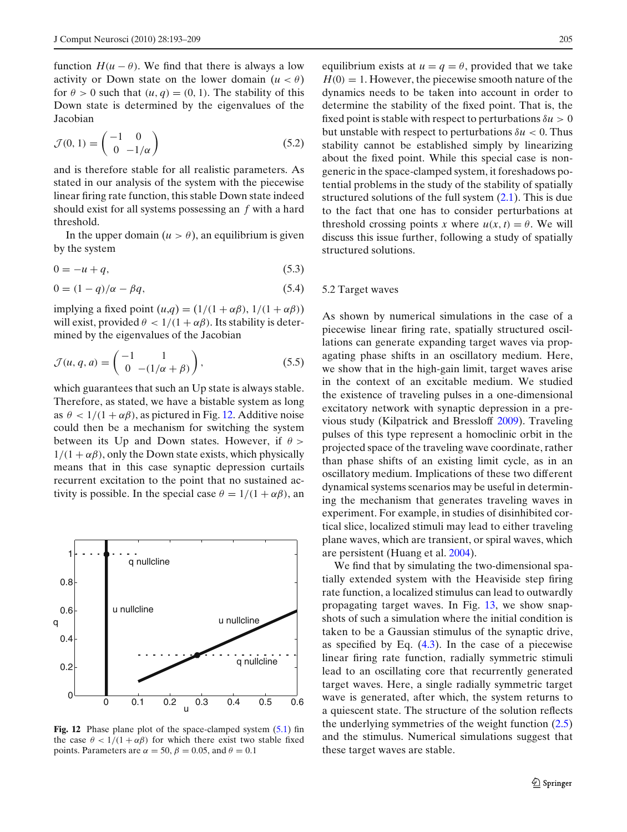function  $H(u - \theta)$ . We find that there is always a low activity or Down state on the lower domain  $(u < \theta)$ for  $\theta > 0$  such that  $(u, q) = (0, 1)$ . The stability of this Down state is determined by the eigenvalues of the Jacobian

$$
\mathcal{J}(0,1) = \begin{pmatrix} -1 & 0\\ 0 & -1/\alpha \end{pmatrix} \tag{5.2}
$$

and is therefore stable for all realistic parameters. As stated in our analysis of the system with the piecewise linear firing rate function, this stable Down state indeed should exist for all systems possessing an *f* with a hard threshold.

In the upper domain  $(u > \theta)$ , an equilibrium is given by the system

$$
0 = -u + q,\tag{5.3}
$$

$$
0 = (1 - q)/\alpha - \beta q,\tag{5.4}
$$

implying a fixed point  $(u,q) = (1/(1 + \alpha\beta), 1/(1 + \alpha\beta))$ will exist, provided  $\theta < 1/(1 + \alpha \beta)$ . Its stability is determined by the eigenvalues of the Jacobian

$$
\mathcal{J}(u,q,a) = \begin{pmatrix} -1 & 1 \\ 0 & -(1/\alpha + \beta) \end{pmatrix},\tag{5.5}
$$

which guarantees that such an Up state is always stable. Therefore, as stated, we have a bistable system as long as  $\theta$  < 1/(1 +  $\alpha\beta$ ), as pictured in Fig. 12. Additive noise could then be a mechanism for switching the system between its Up and Down states. However, if  $\theta$  >  $1/(1 + \alpha \beta)$ , only the Down state exists, which physically means that in this case synaptic depression curtails recurrent excitation to the point that no sustained activity is possible. In the special case  $\theta = 1/(1 + \alpha \beta)$ , an



Fig. 12 Phase plane plot of the space-clamped system  $(5.1)$  fin the case  $\theta$  < 1/(1 +  $\alpha\beta$ ) for which there exist two stable fixed points. Parameters are  $\alpha = 50$ ,  $\beta = 0.05$ , and  $\theta = 0.1$ 

equilibrium exists at  $u = q = \theta$ , provided that we take  $H(0) = 1$ . However, the piecewise smooth nature of the dynamics needs to be taken into account in order to determine the stability of the fixed point. That is, the fixed point is stable with respect to perturbations  $\delta u > 0$ but unstable with respect to perturbations  $\delta u < 0$ . Thus stability cannot be established simply by linearizing about the fixed point. While this special case is nongeneric in the space-clamped system, it foreshadows potential problems in the study of the stability of spatially structured solutions of the full system  $(2.1)$ . This is due to the fact that one has to consider perturbations at threshold crossing points *x* where  $u(x, t) = \theta$ . We will discuss this issue further, following a study of spatially structured solutions.

## 5.2 Target waves

As shown by numerical simulations in the case of a piecewise linear firing rate, spatially structured oscillations can generate expanding target waves via propagating phase shifts in an oscillatory medium. Here, we show that in the high-gain limit, target waves arise in the context of an excitable medium. We studied the existence of traveling pulses in a one-dimensional excitatory network with synaptic depression in a previous study (Kilpatrick and Bresslof[f](#page-15-0) [2009\)](#page-15-0). Traveling pulses of this type represent a homoclinic orbit in the projected space of the traveling wave coordinate, rather than phase shifts of an existing limit cycle, as in an oscillatory medium. Implications of these two different dynamical systems scenarios may be useful in determining the mechanism that generates traveling waves in experiment. For example, in studies of disinhibited cortical slice, localized stimuli may lead to either traveling plane waves, which are transient, or spiral waves, which are persistent (Huang et al[.](#page-15-0) [2004\)](#page-15-0).

We find that by simulating the two-dimensional spatially extended system with the Heaviside step firing rate function, a localized stimulus can lead to outwardly propagating target waves. In Fig. [13,](#page-13-0) we show snapshots of such a simulation where the initial condition is taken to be a Gaussian stimulus of the synaptic drive, as specified by Eq.  $(4.3)$ . In the case of a piecewise linear firing rate function, radially symmetric stimuli lead to an oscillating core that recurrently generated target waves. Here, a single radially symmetric target wave is generated, after which, the system returns to a quiescent state. The structure of the solution reflects the underlying symmetries of the weight function [\(2.5\)](#page-3-0) and the stimulus. Numerical simulations suggest that these target waves are stable.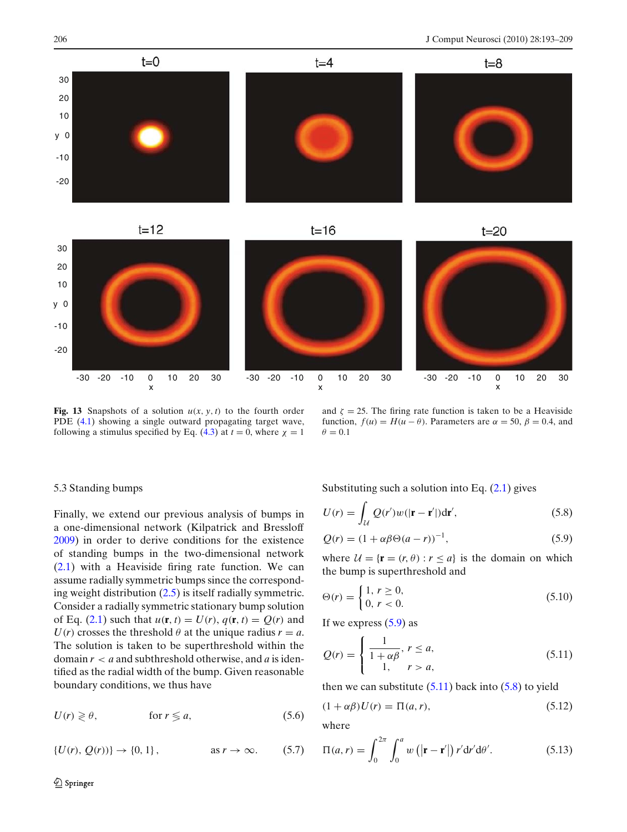<span id="page-13-0"></span>



 $t=20$ 



**Fig. 13** Snapshots of a solution  $u(x, y, t)$  to the fourth order PDE [\(4.1\)](#page-7-0) showing a single outward propagating target wave, following a stimulus specified by Eq.  $(4.3)$  at  $t = 0$ , where  $\chi = 1$ 

 $t=12$ 

and  $\zeta = 25$ . The firing rate function is taken to be a Heaviside function,  $f(u) = H(u - \theta)$ . Parameters are  $\alpha = 50$ ,  $\beta = 0.4$ , and  $\theta = 0.1$ 

## 5.3 Standing bumps

Finally, we extend our previous analysis of bumps in a one-dimensional network (Kilpatrick and Bresslof[f](#page-15-0) [2009](#page-15-0)) in order to derive conditions for the existence of standing bumps in the two-dimensional network [\(2.1\)](#page-2-0) with a Heaviside firing rate function. We can assume radially symmetric bumps since the corresponding weight distribution [\(2.5\)](#page-3-0) is itself radially symmetric. Consider a radially symmetric stationary bump solution of Eq. [\(2.1\)](#page-2-0) such that  $u(\mathbf{r}, t) = U(r), q(\mathbf{r}, t) = Q(r)$  and  $U(r)$  crosses the threshold  $\theta$  at the unique radius  $r = a$ . The solution is taken to be superthreshold within the domain *r* < *a* and subthreshold otherwise, and *a* is identified as the radial width of the bump. Given reasonable boundary conditions, we thus have

$$
U(r) \geqslant \theta, \qquad \text{for } r \leqslant a,
$$
\n
$$
(5.6)
$$

 $\{U(r), Q(r)\}\to \{0, 1\}, \qquad \text{as } r \to \infty.$  (5.7)

Substituting such a solution into Eq.  $(2.1)$  gives

$$
U(r) = \int_{\mathcal{U}} Q(r')w(|\mathbf{r} - \mathbf{r'}|)d\mathbf{r'},
$$
\n(5.8)

$$
Q(r) = (1 + \alpha \beta \Theta(a - r))^{-1},
$$
\n(5.9)

where  $U = {r = (r, \theta) : r \le a}$  is the domain on which the bump is superthreshold and

$$
\Theta(r) = \begin{cases} 1, r \ge 0, \\ 0, r < 0. \end{cases} \tag{5.10}
$$

If we express  $(5.9)$  as

$$
Q(r) = \begin{cases} \frac{1}{1 + \alpha \beta}, & r \le a, \\ 1, & r > a, \end{cases}
$$
 (5.11)

then we can substitute  $(5.11)$  back into  $(5.8)$  to yield

$$
(1 + \alpha \beta)U(r) = \Pi(a, r),\tag{5.12}
$$

where

$$
\Pi(a, r) = \int_0^{2\pi} \int_0^a w\left(|\mathbf{r} - \mathbf{r}'|\right) r' d\mathbf{r}' d\theta'.\tag{5.13}
$$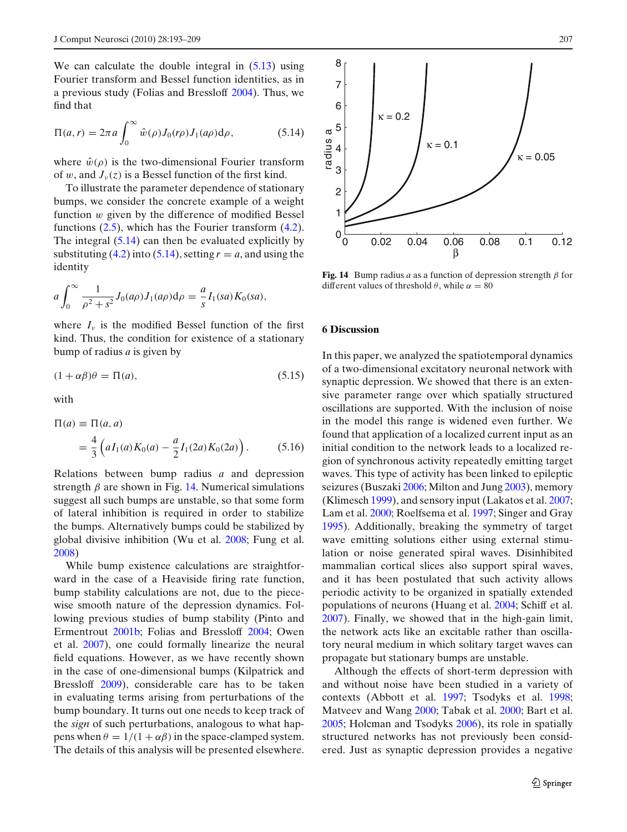We can calculate the double integral in  $(5.13)$  using Fourier transform and Bessel function identities, as in a previous study (Folias and Bresslof[f](#page-15-0) [2004](#page-15-0)). Thus, we find that

$$
\Pi(a,r) = 2\pi a \int_0^\infty \hat{w}(\rho) J_0(r\rho) J_1(a\rho) d\rho, \qquad (5.14)
$$

where  $\hat{w}(\rho)$  is the two-dimensional Fourier transform of w, and  $J_{\nu}(z)$  is a Bessel function of the first kind.

To illustrate the parameter dependence of stationary bumps, we consider the concrete example of a weight function  $w$  given by the difference of modified Bessel functions [\(2.5\)](#page-3-0), which has the Fourier transform [\(4.2\)](#page-7-0). The integral  $(5.14)$  can then be evaluated explicitly by substituting  $(4.2)$  into  $(5.14)$ , setting  $r = a$ , and using the identity

$$
a\int_0^{\infty} \frac{1}{\rho^2 + s^2} J_0(a\rho) J_1(a\rho) d\rho = \frac{a}{s} I_1(sa) K_0(sa),
$$

where  $I_{\nu}$  is the modified Bessel function of the first kind. Thus, the condition for existence of a stationary bump of radius *a* is given by

$$
(1 + \alpha \beta)\theta = \Pi(a),\tag{5.15}
$$

with

$$
\Pi(a) \equiv \Pi(a, a)
$$
  
=  $\frac{4}{3} \left( aI_1(a)K_0(a) - \frac{a}{2}I_1(2a)K_0(2a) \right)$ . (5.16)

Relations between bump radius *a* and depression strength  $\beta$  are shown in Fig. 14. Numerical simulations suggest all such bumps are unstable, so that some form of lateral inhibition is required in order to stabilize the bumps. Alternatively bumps could be stabilized by global divisive inhibition (Wu et al[.](#page-16-0) [2008](#page-16-0); Fung et al[.](#page-15-0) [2008](#page-15-0))

While bump existence calculations are straightforward in the case of a Heaviside firing rate function, bump stability calculations are not, due to the piecewise smooth nature of the depression dynamics. Following previous studies of bump stability (Pinto and Ermentrou[t](#page-16-0) [2001b](#page-16-0); Folias and Bresslof[f](#page-15-0) [2004;](#page-15-0) Owen et al[.](#page-16-0) [2007](#page-16-0)), one could formally linearize the neural field equations. However, as we have recently shown in the case of one-dimensional bumps (Kilpatrick and Bresslof[f](#page-15-0) [2009\)](#page-15-0), considerable care has to be taken in evaluating terms arising from perturbations of the bump boundary. It turns out one needs to keep track of the *sign* of such perturbations, analogous to what happens when  $\theta = 1/(1 + \alpha \beta)$  in the space-clamped system. The details of this analysis will be presented elsewhere.



**Fig. 14** Bump radius *a* as a function of depression strength  $\beta$  for different values of threshold  $\theta$ , while  $\alpha = 80$ 

### **6 Discussion**

In this paper, we analyzed the spatiotemporal dynamics of a two-dimensional excitatory neuronal network with synaptic depression. We showed that there is an extensive parameter range over which spatially structured oscillations are supported. With the inclusion of noise in the model this range is widened even further. We found that application of a localized current input as an initial condition to the network leads to a localized region of synchronous activity repeatedly emitting target waves. This type of activity has been linked to epileptic seizures (Buszak[i](#page-15-0) [2006](#page-15-0); Milton and Jun[g](#page-16-0) [2003\)](#page-16-0), memory (Klimesc[h](#page-15-0) [1999\)](#page-15-0), and sensory input (Lakatos et al[.](#page-15-0) [2007;](#page-15-0) Lam et al[.](#page-15-0) [2000;](#page-15-0) Roelfsema et al[.](#page-16-0) [1997;](#page-16-0) Singer and Gra[y](#page-16-0) [1995](#page-16-0)). Additionally, breaking the symmetry of target wave emitting solutions either using external stimulation or noise generated spiral waves. Disinhibited mammalian cortical slices also support spiral waves, and it has been postulated that such activity allows periodic activity to be organized in spatially extended populations of neurons (Huang et al[.](#page-15-0) [2004;](#page-15-0) Schiff et al[.](#page-16-0) [2007](#page-16-0)). Finally, we showed that in the high-gain limit, the network acts like an excitable rather than oscillatory neural medium in which solitary target waves can propagate but stationary bumps are unstable.

Although the effects of short-term depression with and without noise have been studied in a variety of contexts (Abbott et al[.](#page-15-0) [1997;](#page-15-0) Tsodyks et al[.](#page-16-0) [1998;](#page-16-0) Matveev and Wan[g](#page-16-0) [2000](#page-16-0); Tabak et al[.](#page-16-0) [2000;](#page-16-0) Bart et al[.](#page-15-0) [2005](#page-15-0); Holcman and Tsodyk[s](#page-15-0) [2006\)](#page-15-0), its role in spatially structured networks has not previously been considered. Just as synaptic depression provides a negative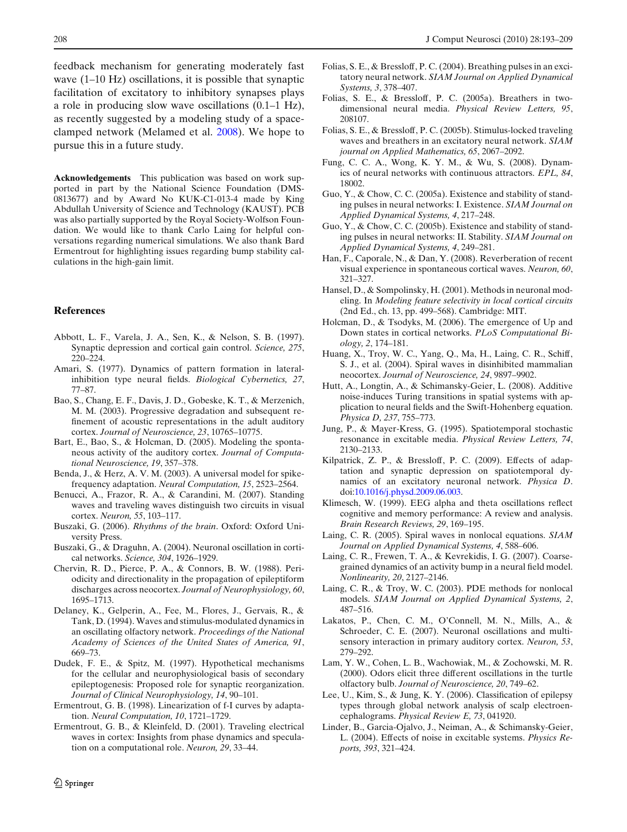<span id="page-15-0"></span>feedback mechanism for generating moderately fast wave (1–10 Hz) oscillations, it is possible that synaptic facilitation of excitatory to inhibitory synapses plays a role in producing slow wave oscillations (0.1–1 Hz), as recently suggested by a modeling study of a spaceclamped network (Melamed et al[.](#page-16-0) [2008](#page-16-0)). We hope to pursue this in a future study.

**Acknowledgements** This publication was based on work supported in part by the National Science Foundation (DMS-0813677) and by Award No KUK-C1-013-4 made by King Abdullah University of Science and Technology (KAUST). PCB was also partially supported by the Royal Society-Wolfson Foundation. We would like to thank Carlo Laing for helpful conversations regarding numerical simulations. We also thank Bard Ermentrout for highlighting issues regarding bump stability calculations in the high-gain limit.

## **References**

- Abbott, L. F., Varela, J. A., Sen, K., & Nelson, S. B. (1997). Synaptic depression and cortical gain control. *Science, 275*, 220–224.
- Amari, S. (1977). Dynamics of pattern formation in lateralinhibition type neural fields. *Biological Cybernetics, 27*, 77–87.
- Bao, S., Chang, E. F., Davis, J. D., Gobeske, K. T., & Merzenich, M. M. (2003). Progressive degradation and subsequent refinement of acoustic representations in the adult auditory cortex. *Journal of Neuroscience, 23*, 10765–10775.
- Bart, E., Bao, S., & Holcman, D. (2005). Modeling the spontaneous activity of the auditory cortex. *Journal of Computational Neuroscience, 19*, 357–378.
- Benda, J., & Herz, A. V. M. (2003). A universal model for spikefrequency adaptation. *Neural Computation, 15*, 2523–2564.
- Benucci, A., Frazor, R. A., & Carandini, M. (2007). Standing waves and traveling waves distinguish two circuits in visual cortex. *Neuron, 55*, 103–117.
- Buszaki, G. (2006). *Rhythms of the brain*. Oxford: Oxford University Press.
- Buszaki, G., & Draguhn, A. (2004). Neuronal oscillation in cortical networks. *Science, 304*, 1926–1929.
- Chervin, R. D., Pierce, P. A., & Connors, B. W. (1988). Periodicity and directionality in the propagation of epileptiform discharges across neocortex. *Journal of Neurophysiology, 60*, 1695–1713.
- Delaney, K., Gelperin, A., Fee, M., Flores, J., Gervais, R., & Tank, D. (1994). Waves and stimulus-modulated dynamics in an oscillating olfactory network. *Proceedings of the National Academy of Sciences of the United States of America, 91*, 669–73.
- Dudek, F. E., & Spitz, M. (1997). Hypothetical mechanisms for the cellular and neurophysiological basis of secondary epileptogenesis: Proposed role for synaptic reorganization. *Journal of Clinical Neurophysiology, 14*, 90–101.
- Ermentrout, G. B. (1998). Linearization of f-I curves by adaptation. *Neural Computation, 10*, 1721–1729.
- Ermentrout, G. B., & Kleinfeld, D. (2001). Traveling electrical waves in cortex: Insights from phase dynamics and speculation on a computational role. *Neuron, 29*, 33–44.
- Folias, S. E., & Bressloff, P. C. (2004). Breathing pulses in an excitatory neural network. *SIAM Journal on Applied Dynamical Systems, 3*, 378–407.
- Folias, S. E., & Bressloff, P. C. (2005a). Breathers in twodimensional neural media. *Physical Review Letters, 95*, 208107.
- Folias, S. E., & Bressloff, P. C. (2005b). Stimulus-locked traveling waves and breathers in an excitatory neural network. *SIAM journal on Applied Mathematics, 65*, 2067–2092.
- Fung, C. C. A., Wong, K. Y. M., & Wu, S. (2008). Dynamics of neural networks with continuous attractors. *EPL, 84*, 18002.
- Guo, Y., & Chow, C. C. (2005a). Existence and stability of standing pulses in neural networks: I. Existence. *SIAM Journal on Applied Dynamical Systems, 4*, 217–248.
- Guo, Y., & Chow, C. C. (2005b). Existence and stability of standing pulses in neural networks: II. Stability. *SIAM Journal on Applied Dynamical Systems, 4*, 249–281.
- Han, F., Caporale, N., & Dan, Y. (2008). Reverberation of recent visual experience in spontaneous cortical waves. *Neuron, 60*, 321–327.
- Hansel, D., & Sompolinsky, H. (2001). Methods in neuronal modeling. In *Modeling feature selectivity in local cortical circuits* (2nd Ed., ch. 13, pp. 499–568). Cambridge: MIT.
- Holcman, D., & Tsodyks, M. (2006). The emergence of Up and Down states in cortical networks. *PLoS Computational Biology, 2*, 174–181.
- Huang, X., Troy, W. C., Yang, Q., Ma, H., Laing, C. R., Schiff, S. J., et al. (2004). Spiral waves in disinhibited mammalian neocortex. *Journal of Neuroscience, 24*, 9897–9902.
- Hutt, A., Longtin, A., & Schimansky-Geier, L. (2008). Additive noise-induces Turing transitions in spatial systems with application to neural fields and the Swift-Hohenberg equation. *Physica D, 237*, 755–773.
- Jung, P., & Mayer-Kress, G. (1995). Spatiotemporal stochastic resonance in excitable media. *Physical Review Letters, 74*, 2130–2133.
- Kilpatrick, Z. P., & Bressloff, P. C. (2009). Effects of adaptation and synaptic depression on spatiotemporal dynamics of an excitatory neuronal network. *Physica D*. doi[:10.1016/j.physd.2009.06.003.](http://dx.doi.org/10.1016/j.physd.2009.06.003)
- Klimesch, W. (1999). EEG alpha and theta oscillations reflect cognitive and memory performance: A review and analysis. *Brain Research Reviews, 29*, 169–195.
- Laing, C. R. (2005). Spiral waves in nonlocal equations. *SIAM Journal on Applied Dynamical Systems, 4*, 588–606.
- Laing, C. R., Frewen, T. A., & Kevrekidis, I. G. (2007). Coarsegrained dynamics of an activity bump in a neural field model. *Nonlinearity, 20*, 2127–2146.
- Laing, C. R., & Troy, W. C. (2003). PDE methods for nonlocal models. *SIAM Journal on Applied Dynamical Systems, 2*, 487–516.
- Lakatos, P., Chen, C. M., O'Connell, M. N., Mills, A., & Schroeder, C. E. (2007). Neuronal oscillations and multisensory interaction in primary auditory cortex. *Neuron, 53*, 279–292.
- Lam, Y. W., Cohen, L. B., Wachowiak, M., & Zochowski, M. R. (2000). Odors elicit three different oscillations in the turtle olfactory bulb. *Journal of Neuroscience, 20*, 749–62.
- Lee, U., Kim, S., & Jung, K. Y. (2006). Classification of epilepsy types through global network analysis of scalp electroencephalograms. *Physical Review E, 73*, 041920.
- Linder, B., Garcia-Ojalvo, J., Neiman, A., & Schimansky-Geier, L. (2004). Effects of noise in excitable systems. *Physics Reports, 393*, 321–424.